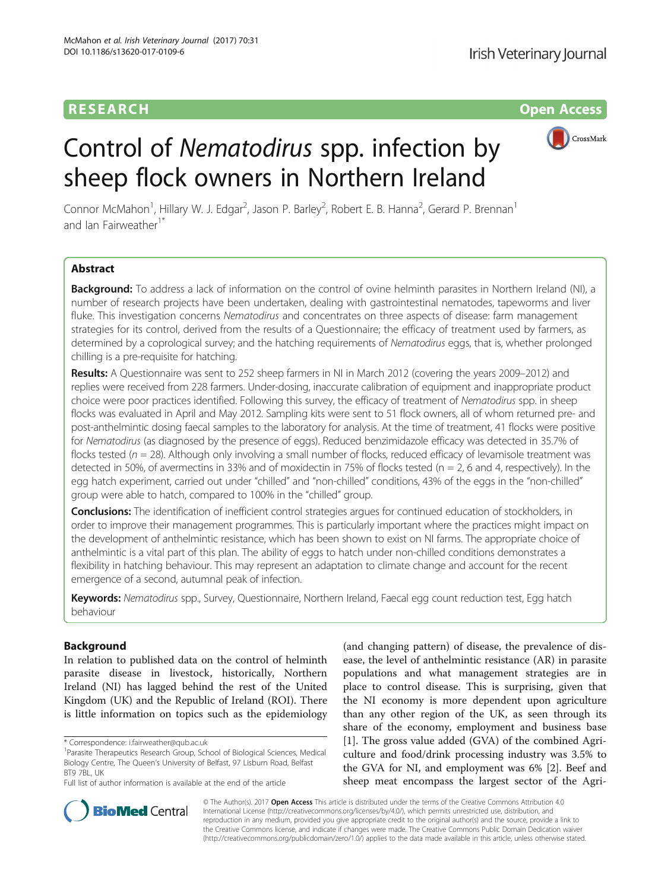# **RESEARCH RESEARCH** *CONSTRUCTER ACCESS*



# Control of Nematodirus spp. infection by sheep flock owners in Northern Ireland

Connor McMahon<sup>1</sup>, Hillary W. J. Edgar<sup>2</sup>, Jason P. Barley<sup>2</sup>, Robert E. B. Hanna<sup>2</sup>, Gerard P. Brennan<sup>1</sup> and Ian Fairweather<sup>1\*</sup>

## Abstract

Background: To address a lack of information on the control of ovine helminth parasites in Northern Ireland (NI), a number of research projects have been undertaken, dealing with gastrointestinal nematodes, tapeworms and liver fluke. This investigation concerns Nematodirus and concentrates on three aspects of disease: farm management strategies for its control, derived from the results of a Questionnaire; the efficacy of treatment used by farmers, as determined by a coprological survey; and the hatching requirements of Nematodirus eggs, that is, whether prolonged chilling is a pre-requisite for hatching.

Results: A Questionnaire was sent to 252 sheep farmers in NI in March 2012 (covering the years 2009–2012) and replies were received from 228 farmers. Under-dosing, inaccurate calibration of equipment and inappropriate product choice were poor practices identified. Following this survey, the efficacy of treatment of Nematodirus spp. in sheep flocks was evaluated in April and May 2012. Sampling kits were sent to 51 flock owners, all of whom returned pre- and post-anthelmintic dosing faecal samples to the laboratory for analysis. At the time of treatment, 41 flocks were positive for Nematodirus (as diagnosed by the presence of eggs). Reduced benzimidazole efficacy was detected in 35.7% of flocks tested ( $n = 28$ ). Although only involving a small number of flocks, reduced efficacy of levamisole treatment was detected in 50%, of avermectins in 33% and of moxidectin in 75% of flocks tested (n = 2, 6 and 4, respectively). In the egg hatch experiment, carried out under "chilled" and "non-chilled" conditions, 43% of the eggs in the "non-chilled" group were able to hatch, compared to 100% in the "chilled" group.

Conclusions: The identification of inefficient control strategies argues for continued education of stockholders, in order to improve their management programmes. This is particularly important where the practices might impact on the development of anthelmintic resistance, which has been shown to exist on NI farms. The appropriate choice of anthelmintic is a vital part of this plan. The ability of eggs to hatch under non-chilled conditions demonstrates a flexibility in hatching behaviour. This may represent an adaptation to climate change and account for the recent emergence of a second, autumnal peak of infection.

Keywords: Nematodirus spp., Survey, Questionnaire, Northern Ireland, Faecal egg count reduction test, Egg hatch behaviour

## Background

In relation to published data on the control of helminth parasite disease in livestock, historically, Northern Ireland (NI) has lagged behind the rest of the United Kingdom (UK) and the Republic of Ireland (ROI). There is little information on topics such as the epidemiology

(and changing pattern) of disease, the prevalence of disease, the level of anthelmintic resistance (AR) in parasite populations and what management strategies are in place to control disease. This is surprising, given that the NI economy is more dependent upon agriculture than any other region of the UK, as seen through its share of the economy, employment and business base [[1\]](#page-9-0). The gross value added (GVA) of the combined Agriculture and food/drink processing industry was 3.5% to the GVA for NI, and employment was 6% [\[2](#page-9-0)]. Beef and sheep meat encompass the largest sector of the Agri-



© The Author(s). 2017 **Open Access** This article is distributed under the terms of the Creative Commons Attribution 4.0 International License [\(http://creativecommons.org/licenses/by/4.0/](http://creativecommons.org/licenses/by/4.0/)), which permits unrestricted use, distribution, and reproduction in any medium, provided you give appropriate credit to the original author(s) and the source, provide a link to the Creative Commons license, and indicate if changes were made. The Creative Commons Public Domain Dedication waiver [\(http://creativecommons.org/publicdomain/zero/1.0/](http://creativecommons.org/publicdomain/zero/1.0/)) applies to the data made available in this article, unless otherwise stated.

<sup>\*</sup> Correspondence: [i.fairweather@qub.ac.uk](mailto:i.fairweather@qub.ac.uk) <sup>1</sup>

<sup>&</sup>lt;sup>1</sup> Parasite Therapeutics Research Group, School of Biological Sciences, Medical Biology Centre, The Queen's University of Belfast, 97 Lisburn Road, Belfast BT9 7BL, UK

Full list of author information is available at the end of the article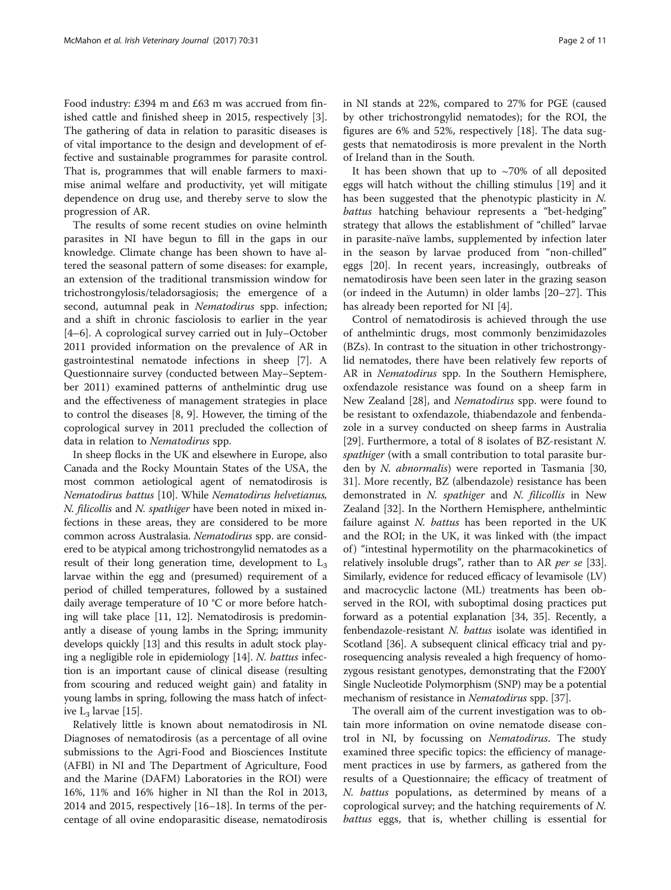Food industry: £394 m and £63 m was accrued from finished cattle and finished sheep in 2015, respectively [\[3](#page-9-0)]. The gathering of data in relation to parasitic diseases is of vital importance to the design and development of effective and sustainable programmes for parasite control. That is, programmes that will enable farmers to maximise animal welfare and productivity, yet will mitigate dependence on drug use, and thereby serve to slow the progression of AR.

The results of some recent studies on ovine helminth parasites in NI have begun to fill in the gaps in our knowledge. Climate change has been shown to have altered the seasonal pattern of some diseases: for example, an extension of the traditional transmission window for trichostrongylosis/teladorsagiosis; the emergence of a second, autumnal peak in Nematodirus spp. infection; and a shift in chronic fasciolosis to earlier in the year [[4](#page-9-0)–[6\]](#page-9-0). A coprological survey carried out in July–October 2011 provided information on the prevalence of AR in gastrointestinal nematode infections in sheep [[7\]](#page-9-0). A Questionnaire survey (conducted between May–September 2011) examined patterns of anthelmintic drug use and the effectiveness of management strategies in place to control the diseases [[8, 9\]](#page-9-0). However, the timing of the coprological survey in 2011 precluded the collection of data in relation to Nematodirus spp.

In sheep flocks in the UK and elsewhere in Europe, also Canada and the Rocky Mountain States of the USA, the most common aetiological agent of nematodirosis is Nematodirus battus [[10\]](#page-9-0). While Nematodirus helvetianus, N. filicollis and N. spathiger have been noted in mixed infections in these areas, they are considered to be more common across Australasia. Nematodirus spp. are considered to be atypical among trichostrongylid nematodes as a result of their long generation time, development to  $L_3$ larvae within the egg and (presumed) requirement of a period of chilled temperatures, followed by a sustained daily average temperature of 10 °C or more before hatching will take place [\[11, 12\]](#page-9-0). Nematodirosis is predominantly a disease of young lambs in the Spring; immunity develops quickly [[13](#page-9-0)] and this results in adult stock playing a negligible role in epidemiology [[14](#page-9-0)]. N. battus infection is an important cause of clinical disease (resulting from scouring and reduced weight gain) and fatality in young lambs in spring, following the mass hatch of infective  $L_3$  larvae [[15](#page-9-0)].

Relatively little is known about nematodirosis in NI. Diagnoses of nematodirosis (as a percentage of all ovine submissions to the Agri-Food and Biosciences Institute (AFBI) in NI and The Department of Agriculture, Food and the Marine (DAFM) Laboratories in the ROI) were 16%, 11% and 16% higher in NI than the RoI in 2013, 2014 and 2015, respectively [[16](#page-9-0)–[18](#page-9-0)]. In terms of the percentage of all ovine endoparasitic disease, nematodirosis in NI stands at 22%, compared to 27% for PGE (caused by other trichostrongylid nematodes); for the ROI, the figures are 6% and 52%, respectively [\[18\]](#page-9-0). The data suggests that nematodirosis is more prevalent in the North of Ireland than in the South.

It has been shown that up to  $\sim$ 70% of all deposited eggs will hatch without the chilling stimulus [\[19](#page-9-0)] and it has been suggested that the phenotypic plasticity in N. battus hatching behaviour represents a "bet-hedging" strategy that allows the establishment of "chilled" larvae in parasite-naïve lambs, supplemented by infection later in the season by larvae produced from "non-chilled" eggs [[20](#page-9-0)]. In recent years, increasingly, outbreaks of nematodirosis have been seen later in the grazing season (or indeed in the Autumn) in older lambs [\[20](#page-9-0)–[27\]](#page-9-0). This has already been reported for NI [[4\]](#page-9-0).

Control of nematodirosis is achieved through the use of anthelmintic drugs, most commonly benzimidazoles (BZs). In contrast to the situation in other trichostrongylid nematodes, there have been relatively few reports of AR in Nematodirus spp. In the Southern Hemisphere, oxfendazole resistance was found on a sheep farm in New Zealand [\[28](#page-9-0)], and Nematodirus spp. were found to be resistant to oxfendazole, thiabendazole and fenbendazole in a survey conducted on sheep farms in Australia [[29\]](#page-9-0). Furthermore, a total of 8 isolates of BZ-resistant N. spathiger (with a small contribution to total parasite burden by N. abnormalis) were reported in Tasmania [[30](#page-9-0), [31\]](#page-9-0). More recently, BZ (albendazole) resistance has been demonstrated in N. spathiger and N. filicollis in New Zealand [[32\]](#page-9-0). In the Northern Hemisphere, anthelmintic failure against N. battus has been reported in the UK and the ROI; in the UK, it was linked with (the impact of) "intestinal hypermotility on the pharmacokinetics of relatively insoluble drugs", rather than to AR per se [[33](#page-9-0)]. Similarly, evidence for reduced efficacy of levamisole (LV) and macrocyclic lactone (ML) treatments has been observed in the ROI, with suboptimal dosing practices put forward as a potential explanation [\[34, 35](#page-9-0)]. Recently, a fenbendazole-resistant N. battus isolate was identified in Scotland [\[36\]](#page-9-0). A subsequent clinical efficacy trial and pyrosequencing analysis revealed a high frequency of homozygous resistant genotypes, demonstrating that the F200Y Single Nucleotide Polymorphism (SNP) may be a potential mechanism of resistance in Nematodirus spp. [\[37\]](#page-9-0).

The overall aim of the current investigation was to obtain more information on ovine nematode disease control in NI, by focussing on Nematodirus. The study examined three specific topics: the efficiency of management practices in use by farmers, as gathered from the results of a Questionnaire; the efficacy of treatment of N. battus populations, as determined by means of a coprological survey; and the hatching requirements of N. battus eggs, that is, whether chilling is essential for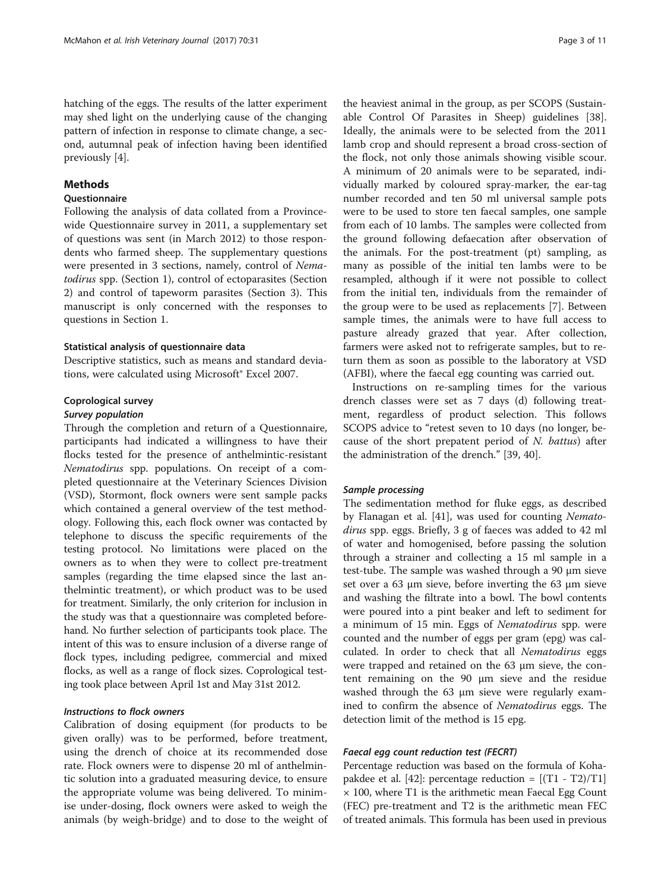hatching of the eggs. The results of the latter experiment may shed light on the underlying cause of the changing pattern of infection in response to climate change, a second, autumnal peak of infection having been identified previously [\[4](#page-9-0)].

## **Methods**

#### **Questionnaire**

Following the analysis of data collated from a Provincewide Questionnaire survey in 2011, a supplementary set of questions was sent (in March 2012) to those respondents who farmed sheep. The supplementary questions were presented in 3 sections, namely, control of Nematodirus spp. (Section 1), control of ectoparasites (Section 2) and control of tapeworm parasites (Section 3). This manuscript is only concerned with the responses to questions in Section 1.

#### Statistical analysis of questionnaire data

Descriptive statistics, such as means and standard deviations, were calculated using Microsoft® Excel 2007.

#### Coprological survey

#### Survey population

Through the completion and return of a Questionnaire, participants had indicated a willingness to have their flocks tested for the presence of anthelmintic-resistant Nematodirus spp. populations. On receipt of a completed questionnaire at the Veterinary Sciences Division (VSD), Stormont, flock owners were sent sample packs which contained a general overview of the test methodology. Following this, each flock owner was contacted by telephone to discuss the specific requirements of the testing protocol. No limitations were placed on the owners as to when they were to collect pre-treatment samples (regarding the time elapsed since the last anthelmintic treatment), or which product was to be used for treatment. Similarly, the only criterion for inclusion in the study was that a questionnaire was completed beforehand. No further selection of participants took place. The intent of this was to ensure inclusion of a diverse range of flock types, including pedigree, commercial and mixed flocks, as well as a range of flock sizes. Coprological testing took place between April 1st and May 31st 2012.

## Instructions to flock owners

Calibration of dosing equipment (for products to be given orally) was to be performed, before treatment, using the drench of choice at its recommended dose rate. Flock owners were to dispense 20 ml of anthelmintic solution into a graduated measuring device, to ensure the appropriate volume was being delivered. To minimise under-dosing, flock owners were asked to weigh the animals (by weigh-bridge) and to dose to the weight of

the heaviest animal in the group, as per SCOPS (Sustainable Control Of Parasites in Sheep) guidelines [\[38](#page-9-0)]. Ideally, the animals were to be selected from the 2011 lamb crop and should represent a broad cross-section of the flock, not only those animals showing visible scour. A minimum of 20 animals were to be separated, individually marked by coloured spray-marker, the ear-tag number recorded and ten 50 ml universal sample pots were to be used to store ten faecal samples, one sample from each of 10 lambs. The samples were collected from the ground following defaecation after observation of the animals. For the post-treatment (pt) sampling, as many as possible of the initial ten lambs were to be resampled, although if it were not possible to collect from the initial ten, individuals from the remainder of the group were to be used as replacements [\[7](#page-9-0)]. Between sample times, the animals were to have full access to pasture already grazed that year. After collection, farmers were asked not to refrigerate samples, but to return them as soon as possible to the laboratory at VSD (AFBI), where the faecal egg counting was carried out.

Instructions on re-sampling times for the various drench classes were set as 7 days (d) following treatment, regardless of product selection. This follows SCOPS advice to "retest seven to 10 days (no longer, because of the short prepatent period of  $N$ . battus) after the administration of the drench." [\[39, 40\]](#page-9-0).

## Sample processing

The sedimentation method for fluke eggs, as described by Flanagan et al. [\[41](#page-9-0)], was used for counting Nematodirus spp. eggs. Briefly, 3 g of faeces was added to 42 ml of water and homogenised, before passing the solution through a strainer and collecting a 15 ml sample in a test-tube. The sample was washed through a 90 μm sieve set over a 63 μm sieve, before inverting the 63 μm sieve and washing the filtrate into a bowl. The bowl contents were poured into a pint beaker and left to sediment for a minimum of 15 min. Eggs of Nematodirus spp. were counted and the number of eggs per gram (epg) was calculated. In order to check that all Nematodirus eggs were trapped and retained on the 63 μm sieve, the content remaining on the 90 μm sieve and the residue washed through the 63 μm sieve were regularly examined to confirm the absence of Nematodirus eggs. The detection limit of the method is 15 epg.

#### Faecal egg count reduction test (FECRT)

Percentage reduction was based on the formula of Koha-pakdee et al. [\[42](#page-9-0)]: percentage reduction =  $[(T1 - T2)/T1]$ × 100, where T1 is the arithmetic mean Faecal Egg Count (FEC) pre-treatment and T2 is the arithmetic mean FEC of treated animals. This formula has been used in previous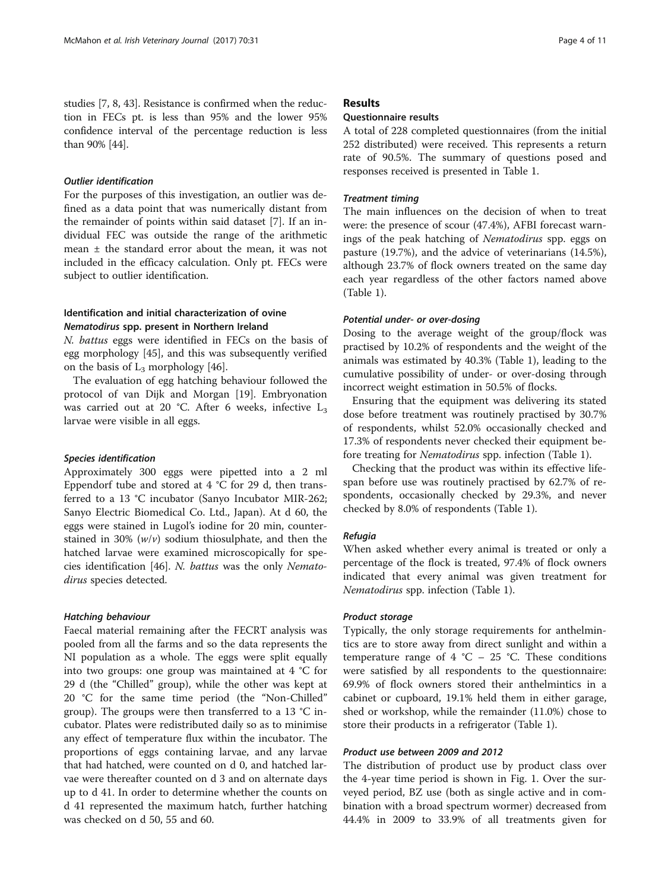studies [\[7](#page-9-0), [8, 43](#page-9-0)]. Resistance is confirmed when the reduction in FECs pt. is less than 95% and the lower 95% confidence interval of the percentage reduction is less than 90% [\[44](#page-9-0)].

#### Outlier identification

For the purposes of this investigation, an outlier was defined as a data point that was numerically distant from the remainder of points within said dataset [[7](#page-9-0)]. If an individual FEC was outside the range of the arithmetic mean  $\pm$  the standard error about the mean, it was not included in the efficacy calculation. Only pt. FECs were subject to outlier identification.

## Identification and initial characterization of ovine Nematodirus spp. present in Northern Ireland

N. battus eggs were identified in FECs on the basis of egg morphology [[45\]](#page-9-0), and this was subsequently verified on the basis of  $L_3$  morphology [\[46](#page-9-0)].

The evaluation of egg hatching behaviour followed the protocol of van Dijk and Morgan [\[19\]](#page-9-0). Embryonation was carried out at 20 °C. After 6 weeks, infective L<sub>3</sub> larvae were visible in all eggs.

#### Species identification

Approximately 300 eggs were pipetted into a 2 ml Eppendorf tube and stored at 4 °C for 29 d, then transferred to a 13 °C incubator (Sanyo Incubator MIR-262; Sanyo Electric Biomedical Co. Ltd., Japan). At d 60, the eggs were stained in Lugol's iodine for 20 min, counterstained in 30%  $(w/v)$  sodium thiosulphate, and then the hatched larvae were examined microscopically for species identification [\[46](#page-9-0)]. N. battus was the only Nematodirus species detected.

#### Hatching behaviour

Faecal material remaining after the FECRT analysis was pooled from all the farms and so the data represents the NI population as a whole. The eggs were split equally into two groups: one group was maintained at 4 °C for 29 d (the "Chilled" group), while the other was kept at 20 °C for the same time period (the "Non-Chilled" group). The groups were then transferred to a 13 °C incubator. Plates were redistributed daily so as to minimise any effect of temperature flux within the incubator. The proportions of eggs containing larvae, and any larvae that had hatched, were counted on d 0, and hatched larvae were thereafter counted on d 3 and on alternate days up to d 41. In order to determine whether the counts on d 41 represented the maximum hatch, further hatching was checked on d 50, 55 and 60.

## Results

## Questionnaire results

A total of 228 completed questionnaires (from the initial 252 distributed) were received. This represents a return rate of 90.5%. The summary of questions posed and responses received is presented in Table [1.](#page-4-0)

#### Treatment timing

The main influences on the decision of when to treat were: the presence of scour (47.4%), AFBI forecast warnings of the peak hatching of Nematodirus spp. eggs on pasture (19.7%), and the advice of veterinarians (14.5%), although 23.7% of flock owners treated on the same day each year regardless of the other factors named above (Table [1\)](#page-4-0).

## Potential under- or over-dosing

Dosing to the average weight of the group/flock was practised by 10.2% of respondents and the weight of the animals was estimated by 40.3% (Table [1](#page-4-0)), leading to the cumulative possibility of under- or over-dosing through incorrect weight estimation in 50.5% of flocks.

Ensuring that the equipment was delivering its stated dose before treatment was routinely practised by 30.7% of respondents, whilst 52.0% occasionally checked and 17.3% of respondents never checked their equipment before treating for Nematodirus spp. infection (Table [1](#page-4-0)).

Checking that the product was within its effective lifespan before use was routinely practised by 62.7% of respondents, occasionally checked by 29.3%, and never checked by 8.0% of respondents (Table [1\)](#page-4-0).

#### Refugia

When asked whether every animal is treated or only a percentage of the flock is treated, 97.4% of flock owners indicated that every animal was given treatment for Nematodirus spp. infection (Table [1\)](#page-4-0).

## Product storage

Typically, the only storage requirements for anthelmintics are to store away from direct sunlight and within a temperature range of 4  $°C - 25$  °C. These conditions were satisfied by all respondents to the questionnaire: 69.9% of flock owners stored their anthelmintics in a cabinet or cupboard, 19.1% held them in either garage, shed or workshop, while the remainder (11.0%) chose to store their products in a refrigerator (Table [1\)](#page-4-0).

#### Product use between 2009 and 2012

The distribution of product use by product class over the 4-year time period is shown in Fig. [1](#page-4-0). Over the surveyed period, BZ use (both as single active and in combination with a broad spectrum wormer) decreased from 44.4% in 2009 to 33.9% of all treatments given for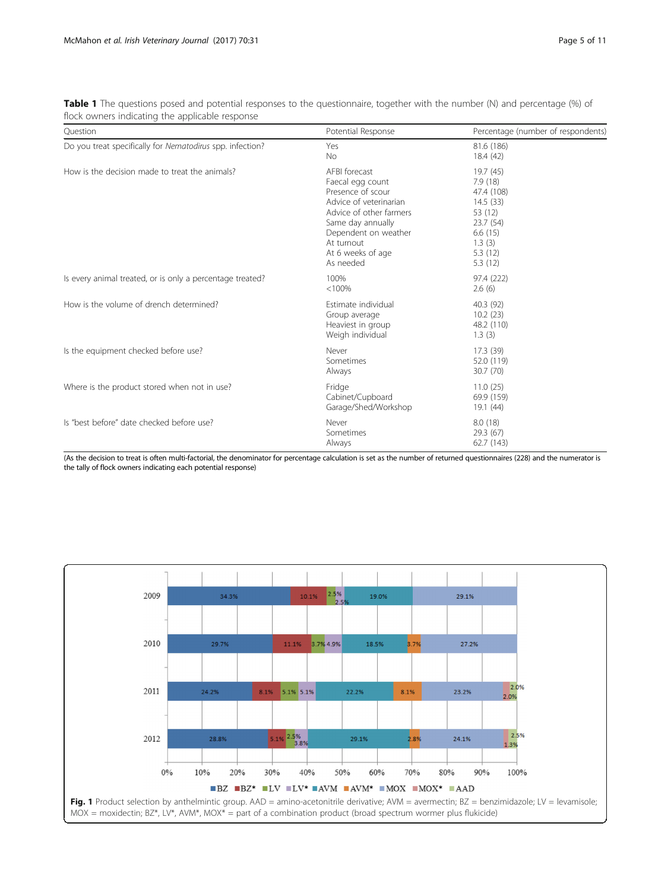Question Potential Response Percentage (number of respondents) Do you treat specifically for Nematodirus spp. infection? Yes No 81.6 (186) 18.4 (42) How is the decision made to treat the animals? AFBI forecast Faecal egg count Presence of scour Advice of veterinarian Advice of other farmers Same day annually Dependent on weather At turnout At 6 weeks of age As needed 19.7 (45) 7.9 (18) 47.4 (108) 14.5 (33) 53 (12) 23.7 (54) 6.6 (15) 1.3 (3) 5.3 (12) 5.3 (12) Is every animal treated, or is only a percentage treated? 100% <100% 97.4 (222) 2.6 (6) How is the volume of drench determined? The Estimate individual Group average Heaviest in group Weigh individual 40.3 (92) 10.2 (23) 48.2 (110) 1.3 (3) Is the equipment checked before use? Never Sometimes Always 17.3 (39) 52.0 (119) 30.7 (70) Where is the product stored when not in use? Fridge Cabinet/Cupboard Garage/Shed/Workshop 11.0 (25) 69.9 (159) 19.1 (44) Is "best before" date checked before use? Never Sometimes Always 8.0 (18) 29.3 (67) 62.7 (143)

<span id="page-4-0"></span>Table 1 The questions posed and potential responses to the questionnaire, together with the number (N) and percentage (%) of flock owners indicating the applicable response

(As the decision to treat is often multi-factorial, the denominator for percentage calculation is set as the number of returned questionnaires (228) and the numerator is the tally of flock owners indicating each potential response)

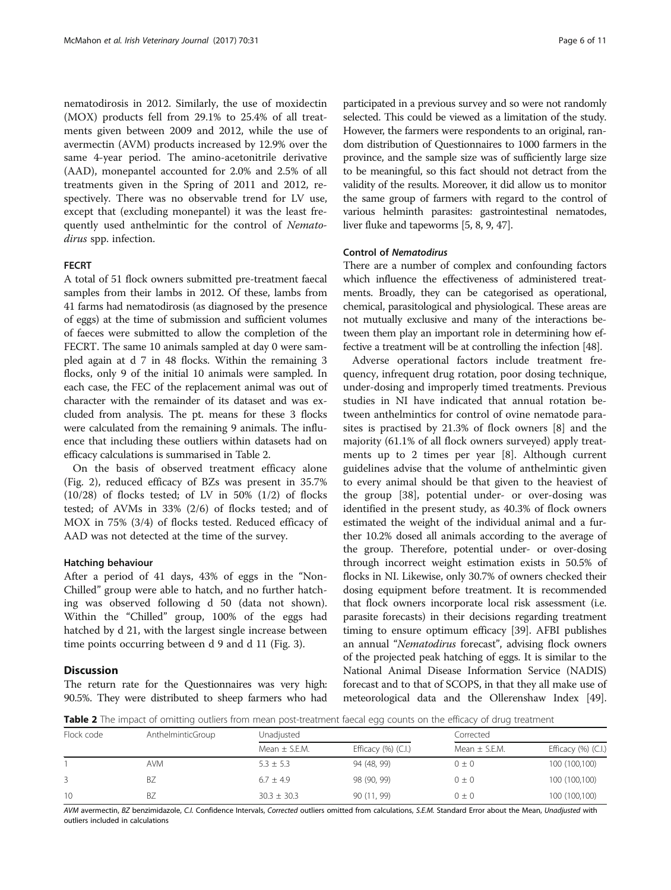nematodirosis in 2012. Similarly, the use of moxidectin (MOX) products fell from 29.1% to 25.4% of all treatments given between 2009 and 2012, while the use of avermectin (AVM) products increased by 12.9% over the same 4-year period. The amino-acetonitrile derivative (AAD), monepantel accounted for 2.0% and 2.5% of all treatments given in the Spring of 2011 and 2012, respectively. There was no observable trend for LV use, except that (excluding monepantel) it was the least frequently used anthelmintic for the control of Nematodirus spp. infection.

#### **FFCRT**

A total of 51 flock owners submitted pre-treatment faecal samples from their lambs in 2012. Of these, lambs from 41 farms had nematodirosis (as diagnosed by the presence of eggs) at the time of submission and sufficient volumes of faeces were submitted to allow the completion of the FECRT. The same 10 animals sampled at day 0 were sampled again at d 7 in 48 flocks. Within the remaining 3 flocks, only 9 of the initial 10 animals were sampled. In each case, the FEC of the replacement animal was out of character with the remainder of its dataset and was excluded from analysis. The pt. means for these 3 flocks were calculated from the remaining 9 animals. The influence that including these outliers within datasets had on efficacy calculations is summarised in Table 2.

On the basis of observed treatment efficacy alone (Fig. [2\)](#page-6-0), reduced efficacy of BZs was present in 35.7%  $(10/28)$  of flocks tested; of LV in 50%  $(1/2)$  of flocks tested; of AVMs in 33% (2/6) of flocks tested; and of MOX in 75% (3/4) of flocks tested. Reduced efficacy of AAD was not detected at the time of the survey.

#### Hatching behaviour

After a period of 41 days, 43% of eggs in the "Non-Chilled" group were able to hatch, and no further hatching was observed following d 50 (data not shown). Within the "Chilled" group, 100% of the eggs had hatched by d 21, with the largest single increase between time points occurring between d 9 and d 11 (Fig. [3\)](#page-6-0).

## **Discussion**

The return rate for the Questionnaires was very high: 90.5%. They were distributed to sheep farmers who had participated in a previous survey and so were not randomly selected. This could be viewed as a limitation of the study. However, the farmers were respondents to an original, random distribution of Questionnaires to 1000 farmers in the province, and the sample size was of sufficiently large size to be meaningful, so this fact should not detract from the validity of the results. Moreover, it did allow us to monitor the same group of farmers with regard to the control of various helminth parasites: gastrointestinal nematodes, liver fluke and tapeworms [[5](#page-9-0), [8, 9](#page-9-0), [47](#page-9-0)].

## Control of Nematodirus

There are a number of complex and confounding factors which influence the effectiveness of administered treatments. Broadly, they can be categorised as operational, chemical, parasitological and physiological. These areas are not mutually exclusive and many of the interactions between them play an important role in determining how effective a treatment will be at controlling the infection [\[48\]](#page-9-0).

Adverse operational factors include treatment frequency, infrequent drug rotation, poor dosing technique, under-dosing and improperly timed treatments. Previous studies in NI have indicated that annual rotation between anthelmintics for control of ovine nematode parasites is practised by 21.3% of flock owners [[8\]](#page-9-0) and the majority (61.1% of all flock owners surveyed) apply treatments up to 2 times per year [\[8](#page-9-0)]. Although current guidelines advise that the volume of anthelmintic given to every animal should be that given to the heaviest of the group [\[38](#page-9-0)], potential under- or over-dosing was identified in the present study, as 40.3% of flock owners estimated the weight of the individual animal and a further 10.2% dosed all animals according to the average of the group. Therefore, potential under- or over-dosing through incorrect weight estimation exists in 50.5% of flocks in NI. Likewise, only 30.7% of owners checked their dosing equipment before treatment. It is recommended that flock owners incorporate local risk assessment (i.e. parasite forecasts) in their decisions regarding treatment timing to ensure optimum efficacy [[39\]](#page-9-0). AFBI publishes an annual "Nematodirus forecast", advising flock owners of the projected peak hatching of eggs. It is similar to the National Animal Disease Information Service (NADIS) forecast and to that of SCOPS, in that they all make use of meteorological data and the Ollerenshaw Index [[49](#page-9-0)].

Table 2 The impact of omitting outliers from mean post-treatment faecal egg counts on the efficacy of drug treatment

| Flock code | AnthelminticGroup | Unadjusted        |                        | Corrected         |                        |
|------------|-------------------|-------------------|------------------------|-------------------|------------------------|
|            |                   | Mean $\pm$ S.E.M. | Efficacy $(\%)$ (C.I.) | Mean $\pm$ S.E.M. | Efficacy $(\%)$ (C.I.) |
|            | <b>AVM</b>        | $5.3 \pm 5.3$     | 94 (48, 99)            | $0 \pm 0$         | 100 (100,100)          |
|            | BZ                | $6.7 + 4.9$       | 98 (90, 99)            | $0 \pm 0$         | 100 (100,100)          |
| 10         | ΒZ                | $30.3 \pm 30.3$   | 90 (11, 99)            | $0 \pm 0$         | 100 (100,100)          |

AVM avermectin, BZ benzimidazole, C.I. Confidence Intervals, Corrected outliers omitted from calculations, S.E.M. Standard Error about the Mean, Unadjusted with outliers included in calculations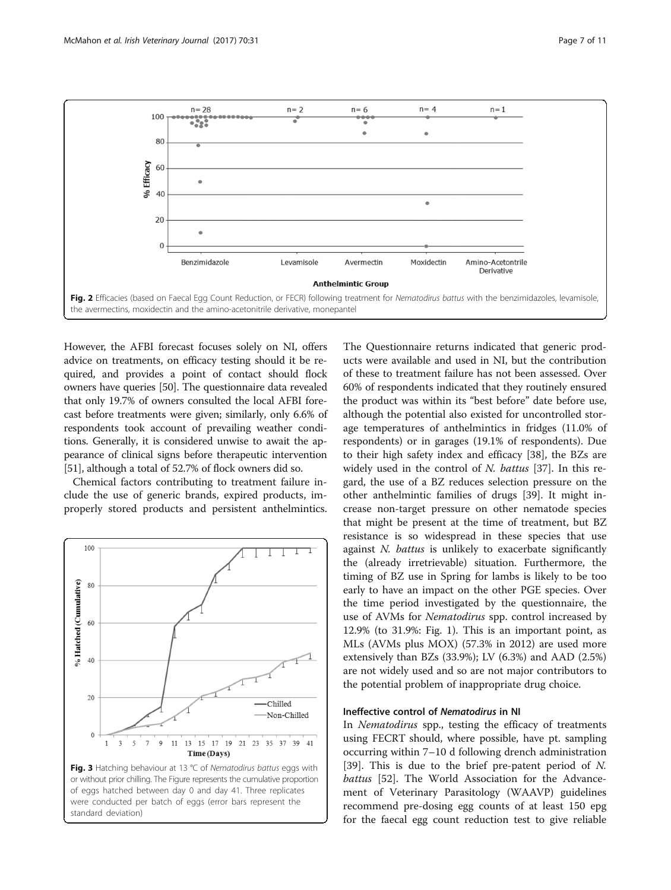<span id="page-6-0"></span>

However, the AFBI forecast focuses solely on NI, offers advice on treatments, on efficacy testing should it be required, and provides a point of contact should flock owners have queries [\[50\]](#page-10-0). The questionnaire data revealed that only 19.7% of owners consulted the local AFBI forecast before treatments were given; similarly, only 6.6% of respondents took account of prevailing weather conditions. Generally, it is considered unwise to await the appearance of clinical signs before therapeutic intervention [[51](#page-10-0)], although a total of 52.7% of flock owners did so.

Chemical factors contributing to treatment failure include the use of generic brands, expired products, improperly stored products and persistent anthelmintics.



standard deviation)

The Questionnaire returns indicated that generic products were available and used in NI, but the contribution of these to treatment failure has not been assessed. Over 60% of respondents indicated that they routinely ensured the product was within its "best before" date before use, although the potential also existed for uncontrolled storage temperatures of anthelmintics in fridges (11.0% of respondents) or in garages (19.1% of respondents). Due to their high safety index and efficacy [[38\]](#page-9-0), the BZs are widely used in the control of N. battus [[37](#page-9-0)]. In this regard, the use of a BZ reduces selection pressure on the other anthelmintic families of drugs [\[39\]](#page-9-0). It might increase non-target pressure on other nematode species that might be present at the time of treatment, but BZ resistance is so widespread in these species that use against N. battus is unlikely to exacerbate significantly the (already irretrievable) situation. Furthermore, the timing of BZ use in Spring for lambs is likely to be too early to have an impact on the other PGE species. Over the time period investigated by the questionnaire, the use of AVMs for Nematodirus spp. control increased by 12.9% (to 31.9%: Fig. [1\)](#page-4-0). This is an important point, as MLs (AVMs plus MOX) (57.3% in 2012) are used more extensively than BZs (33.9%); LV (6.3%) and AAD (2.5%) are not widely used and so are not major contributors to the potential problem of inappropriate drug choice.

## Ineffective control of Nematodirus in NI

In Nematodirus spp., testing the efficacy of treatments using FECRT should, where possible, have pt. sampling occurring within 7–10 d following drench administration [[39\]](#page-9-0). This is due to the brief pre-patent period of N. battus [[52](#page-10-0)]. The World Association for the Advancement of Veterinary Parasitology (WAAVP) guidelines recommend pre-dosing egg counts of at least 150 epg for the faecal egg count reduction test to give reliable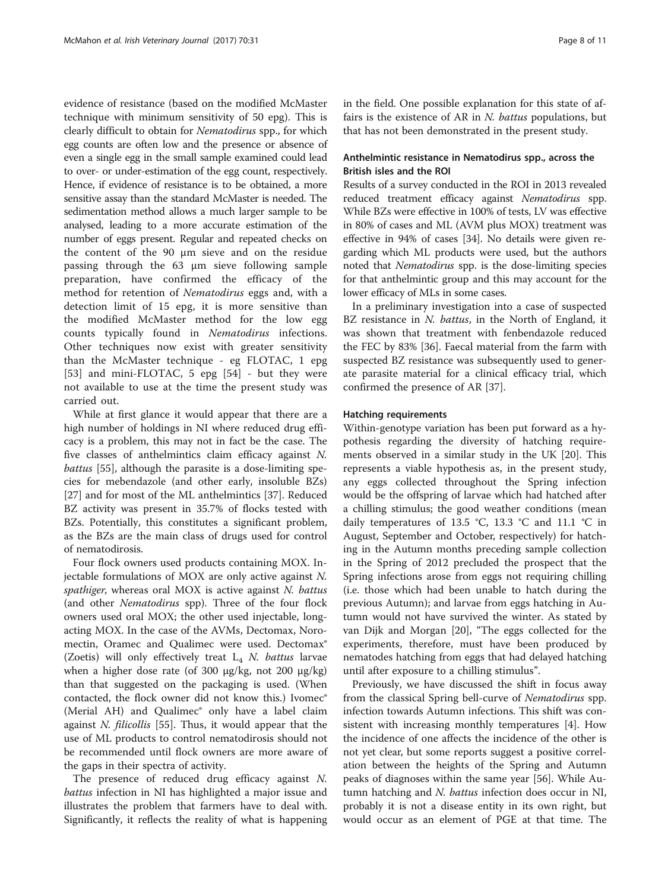evidence of resistance (based on the modified McMaster technique with minimum sensitivity of 50 epg). This is clearly difficult to obtain for Nematodirus spp., for which egg counts are often low and the presence or absence of even a single egg in the small sample examined could lead to over- or under-estimation of the egg count, respectively. Hence, if evidence of resistance is to be obtained, a more sensitive assay than the standard McMaster is needed. The sedimentation method allows a much larger sample to be analysed, leading to a more accurate estimation of the number of eggs present. Regular and repeated checks on the content of the 90 μm sieve and on the residue passing through the 63 μm sieve following sample preparation, have confirmed the efficacy of the method for retention of Nematodirus eggs and, with a detection limit of 15 epg, it is more sensitive than the modified McMaster method for the low egg counts typically found in Nematodirus infections. Other techniques now exist with greater sensitivity than the McMaster technique - eg FLOTAC, 1 epg [[53\]](#page-10-0) and mini-FLOTAC, 5 epg [\[54](#page-10-0)] - but they were not available to use at the time the present study was carried out.

While at first glance it would appear that there are a high number of holdings in NI where reduced drug efficacy is a problem, this may not in fact be the case. The five classes of anthelmintics claim efficacy against N. battus [[55\]](#page-10-0), although the parasite is a dose-limiting species for mebendazole (and other early, insoluble BZs) [[27\]](#page-9-0) and for most of the ML anthelmintics [\[37](#page-9-0)]. Reduced BZ activity was present in 35.7% of flocks tested with BZs. Potentially, this constitutes a significant problem, as the BZs are the main class of drugs used for control of nematodirosis.

Four flock owners used products containing MOX. Injectable formulations of MOX are only active against N. spathiger, whereas oral MOX is active against N. battus (and other Nematodirus spp). Three of the four flock owners used oral MOX; the other used injectable, longacting MOX. In the case of the AVMs, Dectomax, Noromectin, Oramec and Qualimec were used. Dectomax® (Zoetis) will only effectively treat  $L_4$  N. battus larvae when a higher dose rate (of 300 μg/kg, not 200 μg/kg) than that suggested on the packaging is used. (When contacted, the flock owner did not know this.) Ivomec® (Merial AH) and Qualimec® only have a label claim against *N. filicollis* [[55\]](#page-10-0). Thus, it would appear that the use of ML products to control nematodirosis should not be recommended until flock owners are more aware of the gaps in their spectra of activity.

The presence of reduced drug efficacy against N. battus infection in NI has highlighted a major issue and illustrates the problem that farmers have to deal with. Significantly, it reflects the reality of what is happening in the field. One possible explanation for this state of affairs is the existence of AR in N. battus populations, but that has not been demonstrated in the present study.

## Anthelmintic resistance in Nematodirus spp., across the British isles and the ROI

Results of a survey conducted in the ROI in 2013 revealed reduced treatment efficacy against Nematodirus spp. While BZs were effective in 100% of tests, LV was effective in 80% of cases and ML (AVM plus MOX) treatment was effective in 94% of cases [[34](#page-9-0)]. No details were given regarding which ML products were used, but the authors noted that Nematodirus spp. is the dose-limiting species for that anthelmintic group and this may account for the lower efficacy of MLs in some cases.

In a preliminary investigation into a case of suspected BZ resistance in N. battus, in the North of England, it was shown that treatment with fenbendazole reduced the FEC by 83% [[36](#page-9-0)]. Faecal material from the farm with suspected BZ resistance was subsequently used to generate parasite material for a clinical efficacy trial, which confirmed the presence of AR [[37\]](#page-9-0).

#### Hatching requirements

Within-genotype variation has been put forward as a hypothesis regarding the diversity of hatching requirements observed in a similar study in the UK [\[20](#page-9-0)]. This represents a viable hypothesis as, in the present study, any eggs collected throughout the Spring infection would be the offspring of larvae which had hatched after a chilling stimulus; the good weather conditions (mean daily temperatures of 13.5 °C, 13.3 °C and 11.1 °C in August, September and October, respectively) for hatching in the Autumn months preceding sample collection in the Spring of 2012 precluded the prospect that the Spring infections arose from eggs not requiring chilling (i.e. those which had been unable to hatch during the previous Autumn); and larvae from eggs hatching in Autumn would not have survived the winter. As stated by van Dijk and Morgan [[20\]](#page-9-0), "The eggs collected for the experiments, therefore, must have been produced by nematodes hatching from eggs that had delayed hatching until after exposure to a chilling stimulus".

Previously, we have discussed the shift in focus away from the classical Spring bell-curve of Nematodirus spp. infection towards Autumn infections. This shift was consistent with increasing monthly temperatures [\[4](#page-9-0)]. How the incidence of one affects the incidence of the other is not yet clear, but some reports suggest a positive correlation between the heights of the Spring and Autumn peaks of diagnoses within the same year [[56](#page-10-0)]. While Autumn hatching and *N. battus* infection does occur in NI, probably it is not a disease entity in its own right, but would occur as an element of PGE at that time. The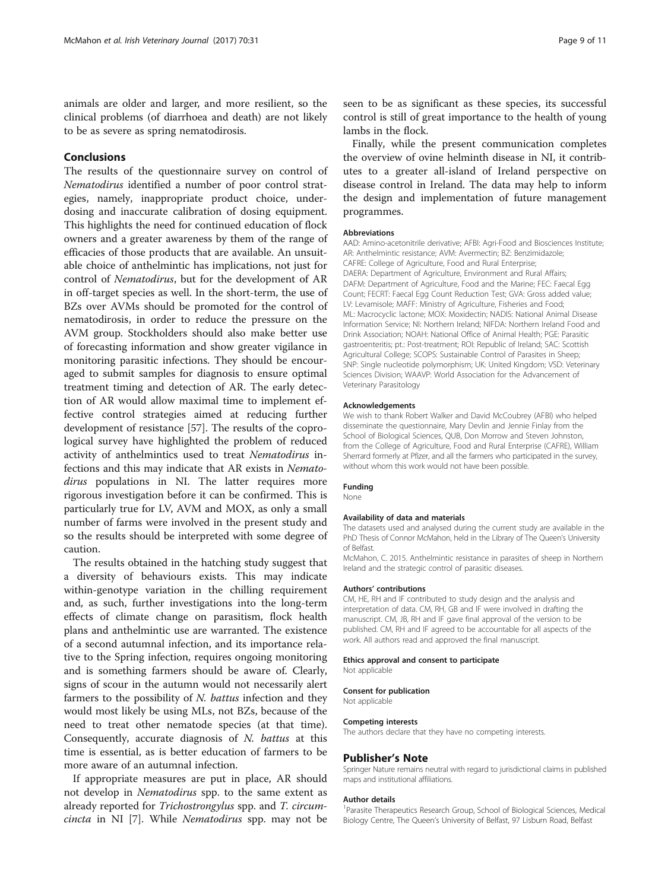animals are older and larger, and more resilient, so the clinical problems (of diarrhoea and death) are not likely to be as severe as spring nematodirosis.

## Conclusions

The results of the questionnaire survey on control of Nematodirus identified a number of poor control strategies, namely, inappropriate product choice, underdosing and inaccurate calibration of dosing equipment. This highlights the need for continued education of flock owners and a greater awareness by them of the range of efficacies of those products that are available. An unsuitable choice of anthelmintic has implications, not just for control of Nematodirus, but for the development of AR in off-target species as well. In the short-term, the use of BZs over AVMs should be promoted for the control of nematodirosis, in order to reduce the pressure on the AVM group. Stockholders should also make better use of forecasting information and show greater vigilance in monitoring parasitic infections. They should be encouraged to submit samples for diagnosis to ensure optimal treatment timing and detection of AR. The early detection of AR would allow maximal time to implement effective control strategies aimed at reducing further development of resistance [\[57](#page-10-0)]. The results of the coprological survey have highlighted the problem of reduced activity of anthelmintics used to treat Nematodirus infections and this may indicate that AR exists in Nematodirus populations in NI. The latter requires more rigorous investigation before it can be confirmed. This is particularly true for LV, AVM and MOX, as only a small number of farms were involved in the present study and so the results should be interpreted with some degree of caution.

The results obtained in the hatching study suggest that a diversity of behaviours exists. This may indicate within-genotype variation in the chilling requirement and, as such, further investigations into the long-term effects of climate change on parasitism, flock health plans and anthelmintic use are warranted. The existence of a second autumnal infection, and its importance relative to the Spring infection, requires ongoing monitoring and is something farmers should be aware of. Clearly, signs of scour in the autumn would not necessarily alert farmers to the possibility of  $N$ . *battus* infection and they would most likely be using MLs, not BZs, because of the need to treat other nematode species (at that time). Consequently, accurate diagnosis of N. battus at this time is essential, as is better education of farmers to be more aware of an autumnal infection.

If appropriate measures are put in place, AR should not develop in Nematodirus spp. to the same extent as already reported for Trichostrongylus spp. and T. circumcincta in NI [[7](#page-9-0)]. While Nematodirus spp. may not be

seen to be as significant as these species, its successful control is still of great importance to the health of young lambs in the flock.

Finally, while the present communication completes the overview of ovine helminth disease in NI, it contributes to a greater all-island of Ireland perspective on disease control in Ireland. The data may help to inform the design and implementation of future management programmes.

#### Abbreviations

AAD: Amino-acetonitrile derivative; AFBI: Agri-Food and Biosciences Institute; AR: Anthelmintic resistance; AVM: Avermectin; BZ: Benzimidazole; CAFRE: College of Agriculture, Food and Rural Enterprise; DAERA: Department of Agriculture, Environment and Rural Affairs; DAFM: Department of Agriculture, Food and the Marine; FEC: Faecal Egg Count; FECRT: Faecal Egg Count Reduction Test; GVA: Gross added value; LV: Levamisole; MAFF: Ministry of Agriculture, Fisheries and Food; ML: Macrocyclic lactone; MOX: Moxidectin; NADIS: National Animal Disease Information Service; NI: Northern Ireland; NIFDA: Northern Ireland Food and Drink Association; NOAH: National Office of Animal Health; PGE: Parasitic gastroenteritis; pt.: Post-treatment; ROI: Republic of Ireland; SAC: Scottish Agricultural College; SCOPS: Sustainable Control of Parasites in Sheep; SNP: Single nucleotide polymorphism; UK: United Kingdom; VSD: Veterinary Sciences Division; WAAVP: World Association for the Advancement of Veterinary Parasitology

#### Acknowledgements

We wish to thank Robert Walker and David McCoubrey (AFBI) who helped disseminate the questionnaire, Mary Devlin and Jennie Finlay from the School of Biological Sciences, QUB, Don Morrow and Steven Johnston, from the College of Agriculture, Food and Rural Enterprise (CAFRE), William Sherrard formerly at Pfizer, and all the farmers who participated in the survey, without whom this work would not have been possible.

#### Funding

## None

### Availability of data and materials

The datasets used and analysed during the current study are available in the PhD Thesis of Connor McMahon, held in the Library of The Queen's University of Belfast.

McMahon, C. 2015. Anthelmintic resistance in parasites of sheep in Northern Ireland and the strategic control of parasitic diseases.

#### Authors' contributions

CM, HE, RH and IF contributed to study design and the analysis and interpretation of data. CM, RH, GB and IF were involved in drafting the manuscript. CM, JB, RH and IF gave final approval of the version to be published. CM, RH and IF agreed to be accountable for all aspects of the work. All authors read and approved the final manuscript.

#### Ethics approval and consent to participate

Not applicable

#### Consent for publication

Not applicable

#### Competing interests

The authors declare that they have no competing interests.

#### Publisher's Note

Springer Nature remains neutral with regard to jurisdictional claims in published maps and institutional affiliations.

#### Author details

<sup>1</sup>Parasite Therapeutics Research Group, School of Biological Sciences, Medical Biology Centre, The Queen's University of Belfast, 97 Lisburn Road, Belfast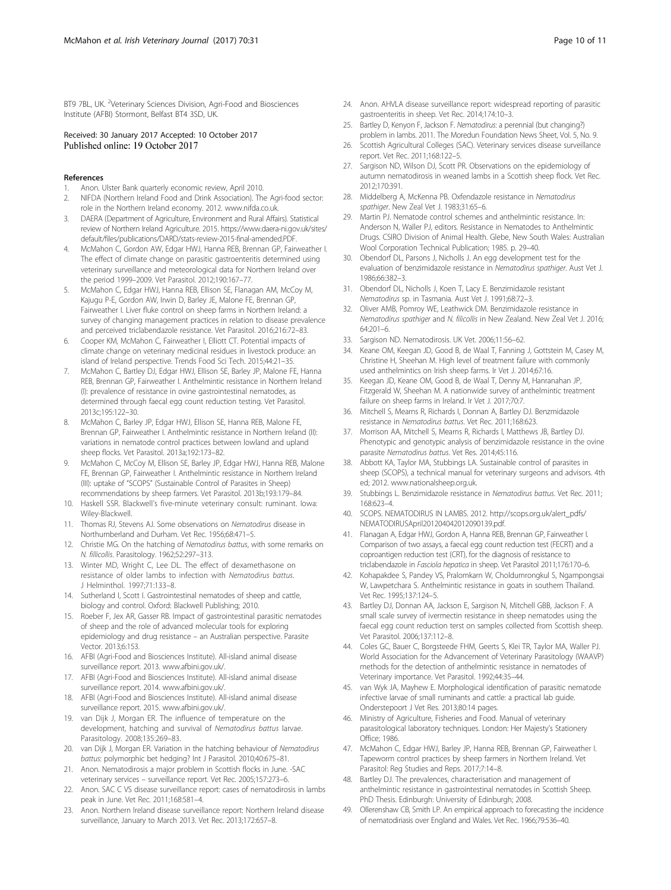<span id="page-9-0"></span>BT9 7BL, UK. <sup>2</sup>Veterinary Sciences Division, Agri-Food and Biosciences Institute (AFBI) Stormont, Belfast BT4 3SD, UK.

Received: 30 January 2017 Accepted: 10 October 2017 Published online: 19 October 2017

#### References

- 1. Anon. Ulster Bank quarterly economic review, April 2010.
- 2. NIFDA (Northern Ireland Food and Drink Association). The Agri-food sector: role in the Northern Ireland economy. 2012. [www.nifda.co.uk](http://www.nifda.co.uk).
- DAERA (Department of Agriculture, Environment and Rural Affairs). Statistical review of Northern Ireland Agriculture. 2015. [https://www.daera-ni.gov.uk/sites/](https://www.daera-ni.gov.uk/sites/default/files/publications/DARD/stats-review-2015-final-amended.PDF) [default/files/publications/DARD/stats-review-2015-final-amended.PDF](https://www.daera-ni.gov.uk/sites/default/files/publications/DARD/stats-review-2015-final-amended.PDF).
- 4. McMahon C, Gordon AW, Edgar HWJ, Hanna REB, Brennan GP, Fairweather I. The effect of climate change on parasitic gastroenteritis determined using veterinary surveillance and meteorological data for Northern Ireland over the period 1999–2009. Vet Parasitol. 2012;190:167–77.
- 5. McMahon C, Edgar HWJ, Hanna REB, Ellison SE, Flanagan AM, McCoy M, Kajugu P-E, Gordon AW, Irwin D, Barley JE, Malone FE, Brennan GP, Fairweather I. Liver fluke control on sheep farms in Northern Ireland: a survey of changing management practices in relation to disease prevalence and perceived triclabendazole resistance. Vet Parasitol. 2016;216:72–83.
- 6. Cooper KM, McMahon C, Fairweather I, Elliott CT. Potential impacts of climate change on veterinary medicinal residues in livestock produce: an island of Ireland perspective. Trends Food Sci Tech. 2015;44:21–35.
- 7. McMahon C, Bartley DJ, Edgar HWJ, Ellison SE, Barley JP, Malone FE, Hanna REB, Brennan GP, Fairweather I. Anthelmintic resistance in Northern Ireland (I): prevalence of resistance in ovine gastrointestinal nematodes, as determined through faecal egg count reduction testing. Vet Parasitol. 2013c;195:122–30.
- 8. McMahon C, Barley JP, Edgar HWJ, Ellison SE, Hanna REB, Malone FE, Brennan GP, Fairweather I. Anthelmintic resistance in Northern Ireland (II): variations in nematode control practices between lowland and upland sheep flocks. Vet Parasitol. 2013a;192:173–82.
- 9. McMahon C, McCoy M, Ellison SE, Barley JP, Edgar HWJ, Hanna REB, Malone FE, Brennan GP, Fairweather I. Anthelmintic resistance in Northern Ireland (III): uptake of "SCOPS" (Sustainable Control of Parasites in Sheep) recommendations by sheep farmers. Vet Parasitol. 2013b;193:179–84.
- 10. Haskell SSR. Blackwell's five-minute veterinary consult: ruminant. Iowa: Wiley-Blackwell.
- 11. Thomas RJ, Stevens AJ. Some observations on Nematodirus disease in Northumberland and Durham. Vet Rec. 1956;68:471–5.
- 12. Christie MG. On the hatching of Nematodirus battus, with some remarks on N. fillicollis. Parasitology. 1962;52:297–313.
- 13. Winter MD, Wright C, Lee DL. The effect of dexamethasone on resistance of older lambs to infection with Nematodirus battus. J Helminthol. 1997;71:133–8.
- 14. Sutherland I, Scott I. Gastrointestinal nematodes of sheep and cattle, biology and control. Oxford: Blackwell Publishing; 2010.
- 15. Roeber F, Jex AR, Gasser RB. Impact of gastrointestinal parasitic nematodes of sheep and the role of advanced molecular tools for exploring epidemiology and drug resistance – an Australian perspective. Parasite Vector. 2013;6:153.
- 16. AFBI (Agri-Food and Biosciences Institute). All-island animal disease surveillance report. 2013. [www.afbini.gov.uk/.](http://www.afbini.gov.uk/)
- 17. AFBI (Agri-Food and Biosciences Institute). All-island animal disease surveillance report. 2014. [www.afbini.gov.uk/.](http://www.afbini.gov.uk/)
- 18. AFBI (Agri-Food and Biosciences Institute). All-island animal disease surveillance report. 2015. [www.afbini.gov.uk/.](http://www.afbini.gov.uk/)
- 19. van Dijk J, Morgan ER. The influence of temperature on the development, hatching and survival of Nematodirus battus larvae. Parasitology. 2008;135:269–83.
- 20. van Dijk J, Morgan ER. Variation in the hatching behaviour of Nematodirus battus: polymorphic bet hedging? Int J Parasitol. 2010;40:675–81.
- 21. Anon. Nematodirosis a major problem in Scottish flocks in June. -SAC veterinary services – surveillance report. Vet Rec. 2005;157:273–6.
- 22. Anon. SAC C VS disease surveillance report: cases of nematodirosis in lambs peak in June. Vet Rec. 2011;168:581–4.
- 23. Anon. Northern Ireland disease surveillance report: Northern Ireland disease surveillance, January to March 2013. Vet Rec. 2013;172:657–8.
- 24. Anon. AHVLA disease surveillance report: widespread reporting of parasitic gastroenteritis in sheep. Vet Rec. 2014;174:10–3.
- 25. Bartley D, Kenyon F, Jackson F, Nematodirus: a perennial (but changing?)
- problem in lambs. 2011. The Moredun Foundation News Sheet, Vol. 5, No. 9. 26. Scottish Agricultural Colleges (SAC). Veterinary services disease surveillance report. Vet Rec. 2011;168:122–5.
- 27. Sargison ND, Wilson DJ, Scott PR. Observations on the epidemiology of autumn nematodirosis in weaned lambs in a Scottish sheep flock. Vet Rec. 2012;170:391.
- 28. Middelberg A, McKenna PB. Oxfendazole resistance in Nematodirus spathiger. New Zeal Vet J. 1983;31:65-6.
- 29. Martin PJ. Nematode control schemes and anthelmintic resistance. In: Anderson N, Waller PJ, editors. Resistance in Nematodes to Anthelmintic Drugs. CSIRO Division of Animal Health. Glebe, New South Wales: Australian Wool Corporation Technical Publication; 1985. p. 29–40.
- 30. Obendorf DL, Parsons J, Nicholls J. An egg development test for the evaluation of benzimidazole resistance in Nematodirus spathiger. Aust Vet J. 1986;66:382–3.
- 31. Obendorf DL, Nicholls J, Koen T, Lacy E. Benzimidazole resistant Nematodirus sp. in Tasmania. Aust Vet J. 1991;68:72–3.
- 32. Oliver AMB, Pomroy WE, Leathwick DM. Benzimidazole resistance in Nematodirus spathiger and N. filicollis in New Zealand. New Zeal Vet J. 2016; 64:201–6.
- 33. Sargison ND. Nematodirosis. UK Vet. 2006;11:56–62.
- 34. Keane OM, Keegan JD, Good B, de Waal T, Fanning J, Gottstein M, Casey M, Christine H, Sheehan M. High level of treatment failure with commonly used anthelmintics on Irish sheep farms. Ir Vet J. 2014;67:16.
- 35. Keegan JD, Keane OM, Good B, de Waal T, Denny M, Hanranahan JP, Fitzgerald W, Sheehan M. A nationwide survey of anthelmintic treatment failure on sheep farms in Ireland. Ir Vet J. 2017;70:7.
- 36. Mitchell S, Mearns R, Richards I, Donnan A, Bartley DJ. Benzmidazole resistance in Nematodirus battus. Vet Rec. 2011;168:623.
- 37. Morrison AA, Mitchell S, Mearns R, Richards I, Matthews JB, Bartley DJ. Phenotypic and genotypic analysis of benzimidazole resistance in the ovine parasite Nematodirus battus. Vet Res. 2014;45:116.
- Abbott KA, Taylor MA, Stubbings LA. Sustainable control of parasites in sheep (SCOPS), a technical manual for veterinary surgeons and advisors. 4th ed; 2012. [www.nationalsheep.org.uk.](http://www.nationalsheep.org.uk)
- 39. Stubbings L. Benzimidazole resistance in Nematodirus battus. Vet Rec. 2011; 168:623–4.
- 40. SCOPS. NEMATODIRUS IN LAMBS. 2012. [http://scops.org.uk/alert\\_pdfs/](http://scops.org.uk/alert_pdfs/NEMATODIRUSApril201204042012090139.pdf) [NEMATODIRUSApril201204042012090139.pdf.](http://scops.org.uk/alert_pdfs/NEMATODIRUSApril201204042012090139.pdf)
- 41. Flanagan A, Edgar HWJ, Gordon A, Hanna REB, Brennan GP, Fairweather I. Comparison of two assays, a faecal egg count reduction test (FECRT) and a coproantigen reduction test (CRT), for the diagnosis of resistance to triclabendazole in Fasciola hepatica in sheep. Vet Parasitol 2011;176:170–6.
- 42. Kohapakdee S, Pandey VS, Pralomkarn W, Choldumrongkul S, Ngampongsai W, Lawpetchara S. Anthelmintic resistance in goats in southern Thailand. Vet Rec. 1995;137:124–5.
- 43. Bartley DJ, Donnan AA, Jackson E, Sargison N, Mitchell GBB, Jackson F. A small scale survey of ivermectin resistance in sheep nematodes using the faecal egg count reduction terst on samples collected from Scottish sheep. Vet Parasitol. 2006;137:112–8.
- 44. Coles GC, Bauer C, Borgsteede FHM, Geerts S, Klei TR, Taylor MA, Waller PJ. World Association for the Advancement of Veterinary Parasitology (WAAVP) methods for the detection of anthelmintic resistance in nematodes of Veterinary importance. Vet Parasitol. 1992;44:35–44.
- 45. van Wyk JA, Mayhew E. Morphological identification of parasitic nematode infective larvae of small ruminants and cattle: a practical lab guide. Onderstepoort J Vet Res. 2013;80:14 pages.
- 46. Ministry of Agriculture, Fisheries and Food. Manual of veterinary parasitological laboratory techniques. London: Her Majesty's Stationery Office; 1986.
- 47. McMahon C, Edgar HWJ, Barley JP, Hanna REB, Brennan GP, Fairweather I. Tapeworm control practices by sheep farmers in Northern Ireland. Vet Parasitol: Reg Studies and Reps. 2017;7:14–8.
- 48. Bartley DJ. The prevalences, characterisation and management of anthelmintic resistance in gastrointestinal nematodes in Scottish Sheep. PhD Thesis. Edinburgh: University of Edinburgh; 2008.
- 49. Ollerenshaw CB, Smith LP. An empirical approach to forecasting the incidence of nematodiriasis over England and Wales. Vet Rec. 1966;79:536–40.